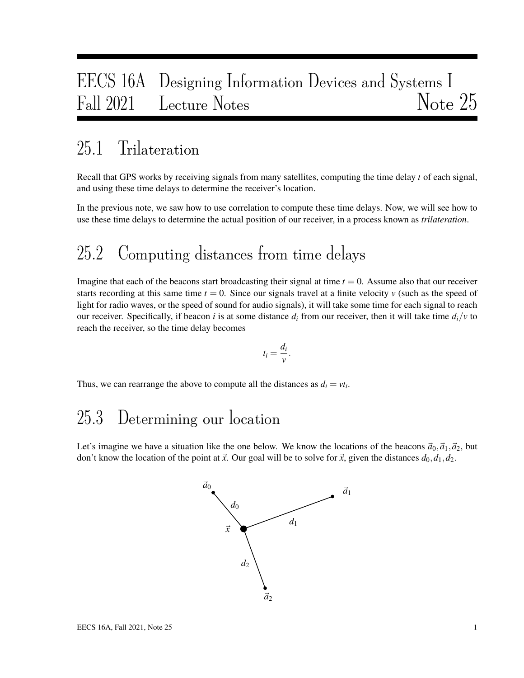# EECS 16A Designing Information Devices and Systems I Fall 2021 Lecture Notes Note 25

#### 25.1 Trilateration

Recall that GPS works by receiving signals from many satellites, computing the time delay *t* of each signal, and using these time delays to determine the receiver's location.

In the previous note, we saw how to use correlation to compute these time delays. Now, we will see how to use these time delays to determine the actual position of our receiver, in a process known as *trilateration*.

# 25.2 Computing distances from time delays

Imagine that each of the beacons start broadcasting their signal at time  $t = 0$ . Assume also that our receiver starts recording at this same time  $t = 0$ . Since our signals travel at a finite velocity  $\nu$  (such as the speed of light for radio waves, or the speed of sound for audio signals), it will take some time for each signal to reach our receiver. Specifically, if beacon *i* is at some distance  $d_i$  from our receiver, then it will take time  $d_i/v$  to reach the receiver, so the time delay becomes

$$
t_i=\frac{d_i}{v}.
$$

Thus, we can rearrange the above to compute all the distances as  $d_i = vt_i$ .

# 25.3 Determining our location

Let's imagine we have a situation like the one below. We know the locations of the beacons  $\vec{a}_0$ ,  $\vec{a}_1$ ,  $\vec{a}_2$ , but don't know the location of the point at  $\vec{x}$ . Our goal will be to solve for  $\vec{x}$ , given the distances  $d_0, d_1, d_2$ .

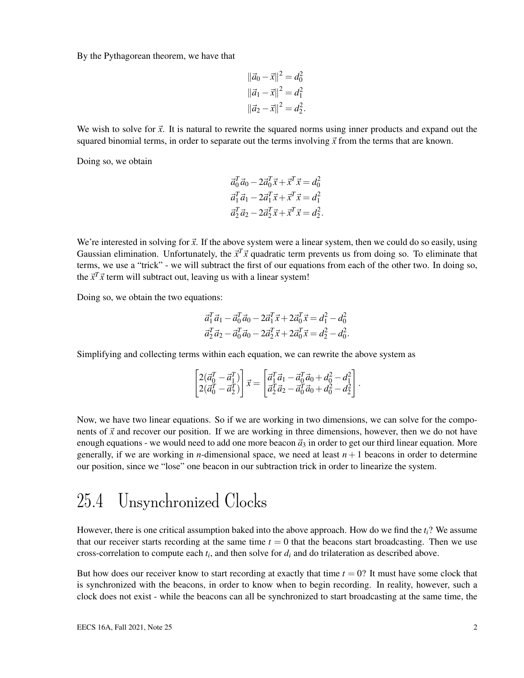By the Pythagorean theorem, we have that

$$
\|\vec{a}_0 - \vec{x}\|^2 = d_0^2
$$
  

$$
\|\vec{a}_1 - \vec{x}\|^2 = d_1^2
$$
  

$$
\|\vec{a}_2 - \vec{x}\|^2 = d_2^2.
$$

We wish to solve for  $\vec{x}$ . It is natural to rewrite the squared norms using inner products and expand out the squared binomial terms, in order to separate out the terms involving  $\vec{x}$  from the terms that are known.

Doing so, we obtain

$$
\vec{a}_0^T \vec{a}_0 - 2\vec{a}_0^T \vec{x} + \vec{x}^T \vec{x} = d_0^2
$$
  
\n
$$
\vec{a}_1^T \vec{a}_1 - 2\vec{a}_1^T \vec{x} + \vec{x}^T \vec{x} = d_1^2
$$
  
\n
$$
\vec{a}_2^T \vec{a}_2 - 2\vec{a}_2^T \vec{x} + \vec{x}^T \vec{x} = d_2^2.
$$

We're interested in solving for  $\vec{x}$ . If the above system were a linear system, then we could do so easily, using Gaussian elimination. Unfortunately, the  $\vec{x}^T \vec{x}$  quadratic term prevents us from doing so. To eliminate that terms, we use a "trick" - we will subtract the first of our equations from each of the other two. In doing so, the  $\vec{x}^T \vec{x}$  term will subtract out, leaving us with a linear system!

Doing so, we obtain the two equations:

$$
\vec{a}_1^T \vec{a}_1 - \vec{a}_0^T \vec{a}_0 - 2\vec{a}_1^T \vec{x} + 2\vec{a}_0^T \vec{x} = d_1^2 - d_0^2
$$
  

$$
\vec{a}_2^T \vec{a}_2 - \vec{a}_0^T \vec{a}_0 - 2\vec{a}_2^T \vec{x} + 2\vec{a}_0^T \vec{x} = d_2^2 - d_0^2.
$$

Simplifying and collecting terms within each equation, we can rewrite the above system as

$$
\begin{bmatrix} 2(\vec{a}_0^T - \vec{a}_1^T) \\ 2(\vec{a}_0^T - \vec{a}_2^T) \end{bmatrix} \vec{x} = \begin{bmatrix} \vec{a}_1^T \vec{a}_1 - \vec{a}_0^T \vec{a}_0 + d_0^2 - d_1^2 \\ \vec{a}_2^T \vec{a}_2 - \vec{a}_0^T \vec{a}_0 + d_0^2 - d_2^2 \end{bmatrix}.
$$

Now, we have two linear equations. So if we are working in two dimensions, we can solve for the components of  $\vec{x}$  and recover our position. If we are working in three dimensions, however, then we do not have enough equations - we would need to add one more beacon  $\vec{a}_3$  in order to get our third linear equation. More generally, if we are working in *n*-dimensional space, we need at least  $n + 1$  beacons in order to determine our position, since we "lose" one beacon in our subtraction trick in order to linearize the system.

#### 25.4 Unsynchronized Clocks

However, there is one critical assumption baked into the above approach. How do we find the *ti*? We assume that our receiver starts recording at the same time  $t = 0$  that the beacons start broadcasting. Then we use cross-correlation to compute each *t<sup>i</sup>* , and then solve for *d<sup>i</sup>* and do trilateration as described above.

But how does our receiver know to start recording at exactly that time  $t = 0$ ? It must have some clock that is synchronized with the beacons, in order to know when to begin recording. In reality, however, such a clock does not exist - while the beacons can all be synchronized to start broadcasting at the same time, the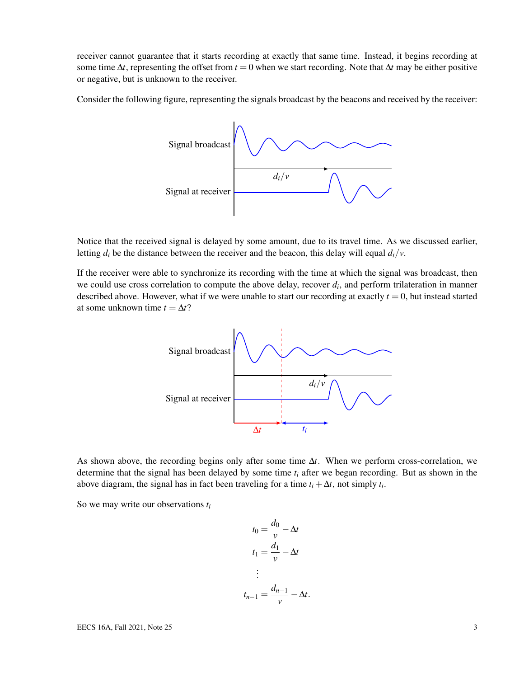receiver cannot guarantee that it starts recording at exactly that same time. Instead, it begins recording at some time  $\Delta t$ , representing the offset from  $t = 0$  when we start recording. Note that  $\Delta t$  may be either positive or negative, but is unknown to the receiver.

Consider the following figure, representing the signals broadcast by the beacons and received by the receiver:



Notice that the received signal is delayed by some amount, due to its travel time. As we discussed earlier, letting  $d_i$  be the distance between the receiver and the beacon, this delay will equal  $d_i/v$ .

If the receiver were able to synchronize its recording with the time at which the signal was broadcast, then we could use cross correlation to compute the above delay, recover  $d_i$ , and perform trilateration in manner described above. However, what if we were unable to start our recording at exactly  $t = 0$ , but instead started at some unknown time  $t = \Delta t$ ?



As shown above, the recording begins only after some time ∆*t*. When we perform cross-correlation, we determine that the signal has been delayed by some time *t<sup>i</sup>* after we began recording. But as shown in the above diagram, the signal has in fact been traveling for a time  $t_i + \Delta t$ , not simply  $t_i$ .

So we may write our observations *t<sup>i</sup>*

$$
t_0 = \frac{d_0}{v} - \Delta t
$$

$$
t_1 = \frac{d_1}{v} - \Delta t
$$

$$
\vdots
$$

$$
t_{n-1} = \frac{d_{n-1}}{v} - \Delta t.
$$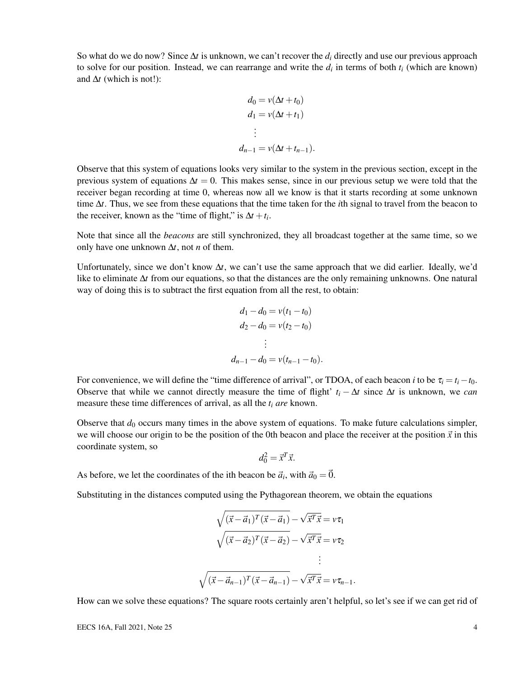So what do we do now? Since ∆*t* is unknown, we can't recover the *d<sup>i</sup>* directly and use our previous approach to solve for our position. Instead, we can rearrange and write the  $d_i$  in terms of both  $t_i$  (which are known) and  $\Delta t$  (which is not!):

$$
d_0 = v(\Delta t + t_0)
$$
  
\n
$$
d_1 = v(\Delta t + t_1)
$$
  
\n
$$
\vdots
$$
  
\n
$$
d_{n-1} = v(\Delta t + t_{n-1}).
$$

Observe that this system of equations looks very similar to the system in the previous section, except in the previous system of equations  $\Delta t = 0$ . This makes sense, since in our previous setup we were told that the receiver began recording at time 0, whereas now all we know is that it starts recording at some unknown time ∆*t*. Thus, we see from these equations that the time taken for the *i*th signal to travel from the beacon to the receiver, known as the "time of flight," is  $\Delta t + t_i$ .

Note that since all the *beacons* are still synchronized, they all broadcast together at the same time, so we only have one unknown ∆*t*, not *n* of them.

Unfortunately, since we don't know ∆*t*, we can't use the same approach that we did earlier. Ideally, we'd like to eliminate ∆*t* from our equations, so that the distances are the only remaining unknowns. One natural way of doing this is to subtract the first equation from all the rest, to obtain:

$$
d_1 - d_0 = v(t_1 - t_0)
$$
  
\n
$$
d_2 - d_0 = v(t_2 - t_0)
$$
  
\n
$$
\vdots
$$
  
\n
$$
d_{n-1} - d_0 = v(t_{n-1} - t_0).
$$

For convenience, we will define the "time difference of arrival", or TDOA, of each beacon *i* to be  $\tau_i = t_i - t_0$ . Observe that while we cannot directly measure the time of flight'  $t_i - \Delta t$  since  $\Delta t$  is unknown, we *can* measure these time differences of arrival, as all the *t<sup>i</sup> are* known.

Observe that  $d_0$  occurs many times in the above system of equations. To make future calculations simpler, we will choose our origin to be the position of the 0th beacon and place the receiver at the position  $\vec{x}$  in this coordinate system, so

$$
d_0^2 = \vec{x}^T \vec{x}.
$$

As before, we let the coordinates of the ith beacon be  $\vec{a}_i$ , with  $\vec{a}_0 = \vec{0}$ .

Substituting in the distances computed using the Pythagorean theorem, we obtain the equations

$$
\sqrt{(\vec{x} - \vec{a}_1)^T (\vec{x} - \vec{a}_1)} - \sqrt{\vec{x}^T \vec{x}} = v\tau_1
$$

$$
\sqrt{(\vec{x} - \vec{a}_2)^T (\vec{x} - \vec{a}_2)} - \sqrt{\vec{x}^T \vec{x}} = v\tau_2
$$

$$
\vdots
$$

$$
\sqrt{(\vec{x} - \vec{a}_{n-1})^T (\vec{x} - \vec{a}_{n-1})} - \sqrt{\vec{x}^T \vec{x}} = v\tau_{n-1}.
$$

How can we solve these equations? The square roots certainly aren't helpful, so let's see if we can get rid of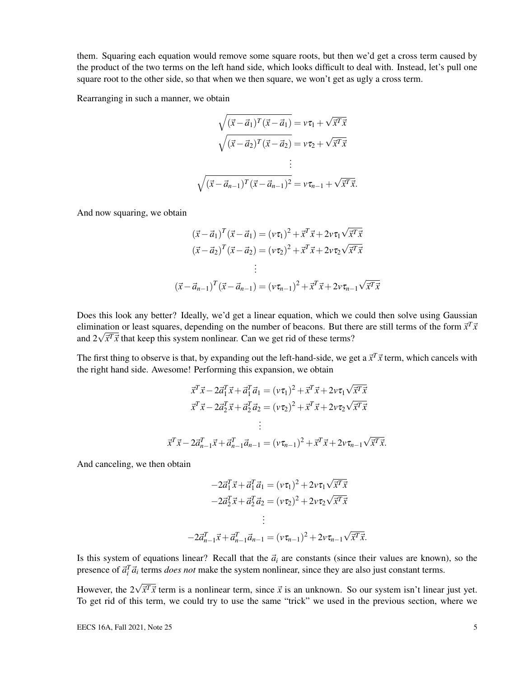them. Squaring each equation would remove some square roots, but then we'd get a cross term caused by the product of the two terms on the left hand side, which looks difficult to deal with. Instead, let's pull one square root to the other side, so that when we then square, we won't get as ugly a cross term.

Rearranging in such a manner, we obtain

$$
\sqrt{(\vec{x} - \vec{a}_1)^T (\vec{x} - \vec{a}_1)} = v\tau_1 + \sqrt{\vec{x}^T \vec{x}}
$$

$$
\sqrt{(\vec{x} - \vec{a}_2)^T (\vec{x} - \vec{a}_2)} = v\tau_2 + \sqrt{\vec{x}^T \vec{x}}
$$

$$
\vdots
$$

$$
\sqrt{(\vec{x} - \vec{a}_{n-1})^T (\vec{x} - \vec{a}_{n-1})^2} = v\tau_{n-1} + \sqrt{\vec{x}^T \vec{x}}.
$$

And now squaring, we obtain

$$
(\vec{x} - \vec{a}_1)^T (\vec{x} - \vec{a}_1) = (v\tau_1)^2 + \vec{x}^T \vec{x} + 2v\tau_1 \sqrt{\vec{x}^T \vec{x}}
$$
  

$$
(\vec{x} - \vec{a}_2)^T (\vec{x} - \vec{a}_2) = (v\tau_2)^2 + \vec{x}^T \vec{x} + 2v\tau_2 \sqrt{\vec{x}^T \vec{x}}
$$
  

$$
\vdots
$$
  

$$
(\vec{x} - \vec{a}_{n-1})^T (\vec{x} - \vec{a}_{n-1}) = (v\tau_{n-1})^2 + \vec{x}^T \vec{x} + 2v\tau_{n-1} \sqrt{\vec{x}^T \vec{x}}
$$

Does this look any better? Ideally, we'd get a linear equation, which we could then solve using Gaussian elimination or least squares, depending on the number of beacons. But there are still terms of the form  $\vec{x}^T \vec{x}$ elimination or least squares, depending on the number or beacons. But the and  $2\sqrt{\vec{x}^T \vec{x}}$  that keep this system nonlinear. Can we get rid of these terms?

The first thing to observe is that, by expanding out the left-hand-side, we get a  $\vec{x}^T \vec{x}$  term, which cancels with the right hand side. Awesome! Performing this expansion, we obtain

$$
\vec{x}^T \vec{x} - 2\vec{a}_1^T \vec{x} + \vec{a}_1^T \vec{a}_1 = (v\tau_1)^2 + \vec{x}^T \vec{x} + 2v\tau_1 \sqrt{\vec{x}^T \vec{x}}
$$
  

$$
\vec{x}^T \vec{x} - 2\vec{a}_2^T \vec{x} + \vec{a}_2^T \vec{a}_2 = (v\tau_2)^2 + \vec{x}^T \vec{x} + 2v\tau_2 \sqrt{\vec{x}^T \vec{x}}
$$
  

$$
\vdots
$$
  

$$
\vec{x}^T \vec{x} - 2\vec{a}_{n-1}^T \vec{x} + \vec{a}_{n-1}^T \vec{a}_{n-1} = (v\tau_{n-1})^2 + \vec{x}^T \vec{x} + 2v\tau_{n-1} \sqrt{\vec{x}^T \vec{x}}.
$$

And canceling, we then obtain

$$
-2\vec{a}_1^T \vec{x} + \vec{a}_1^T \vec{a}_1 = (v\tau_1)^2 + 2v\tau_1 \sqrt{\vec{x}^T \vec{x}}
$$

$$
-2\vec{a}_2^T \vec{x} + \vec{a}_2^T \vec{a}_2 = (v\tau_2)^2 + 2v\tau_2 \sqrt{\vec{x}^T \vec{x}}
$$

$$
\vdots
$$

$$
-2\vec{a}_{n-1}^T \vec{x} + \vec{a}_{n-1}^T \vec{a}_{n-1} = (v\tau_{n-1})^2 + 2v\tau_{n-1} \sqrt{\vec{x}^T \vec{x}}.
$$

Is this system of equations linear? Recall that the  $\vec{a}_i$  are constants (since their values are known), so the presence of  $\vec{a}_i^T \vec{a}_i$  terms *does not* make the system nonlinear, since they are also just constant terms.

However, the 2 $\sqrt{\vec{x}^T\vec{x}}$  term is a nonlinear term, since  $\vec{x}$  is an unknown. So our system isn't linear just yet. To get rid of this term, we could try to use the same "trick" we used in the previous section, where we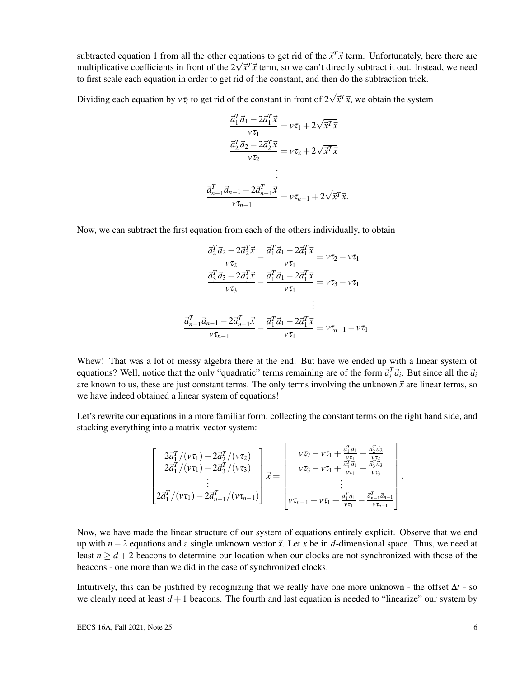subtracted equation 1 from all the other equations to get rid of the  $\vec{x}^T \vec{x}$  term. Unfortunately, here there are subtracted equation 1 from all the other equations to get rid of the x<sup>*x*</sup> x term. Unfortunately, here there are multiplicative coefficients in front of the  $2\sqrt{\vec{x}^T\vec{x}}$  term, so we can't directly subtract it out. Ins to first scale each equation in order to get rid of the constant, and then do the subtraction trick.

Dividing each equation by  $v\tau_i$  to get rid of the constant in front of  $2\sqrt{\vec{x}^T\vec{x}}$ , we obtain the system

$$
\frac{\vec{a}_1^T \vec{a}_1 - 2\vec{a}_1^T \vec{x}}{\nu \tau_1} = \nu \tau_1 + 2\sqrt{\vec{x}^T \vec{x}}
$$
\n
$$
\frac{\vec{a}_2^T \vec{a}_2 - 2\vec{a}_2^T \vec{x}}{\nu \tau_2} = \nu \tau_2 + 2\sqrt{\vec{x}^T \vec{x}}
$$
\n
$$
\vdots
$$
\n
$$
\frac{\vec{a}_{n-1}^T \vec{a}_{n-1} - 2\vec{a}_{n-1}^T \vec{x}}{\nu \tau_{n-1}} = \nu \tau_{n-1} + 2\sqrt{\vec{x}^T \vec{x}}.
$$

Now, we can subtract the first equation from each of the others individually, to obtain

$$
\frac{\vec{a}_2^T \vec{a}_2 - 2\vec{a}_2^T \vec{x}}{\nu \tau_2} - \frac{\vec{a}_1^T \vec{a}_1 - 2\vec{a}_1^T \vec{x}}{\nu \tau_1} = \nu \tau_2 - \nu \tau_1
$$
\n
$$
\frac{\vec{a}_3^T \vec{a}_3 - 2\vec{a}_3^T \vec{x}}{\nu \tau_3} - \frac{\vec{a}_1^T \vec{a}_1 - 2\vec{a}_1^T \vec{x}}{\nu \tau_1} = \nu \tau_3 - \nu \tau_1
$$
\n
$$
\vdots
$$
\n
$$
\frac{\vec{a}_{n-1}^T \vec{a}_{n-1} - 2\vec{a}_{n-1}^T \vec{x}}{\nu \tau_{n-1}} - \frac{\vec{a}_1^T \vec{a}_1 - 2\vec{a}_1^T \vec{x}}{\nu \tau_1} = \nu \tau_{n-1} - \nu \tau_1.
$$

Whew! That was a lot of messy algebra there at the end. But have we ended up with a linear system of equations? Well, notice that the only "quadratic" terms remaining are of the form  $\vec{a}_i^T \vec{a}_i$ . But since all the  $\vec{a}_i$ are known to us, these are just constant terms. The only terms involving the unknown  $\vec{x}$  are linear terms, so we have indeed obtained a linear system of equations!

Let's rewrite our equations in a more familiar form, collecting the constant terms on the right hand side, and stacking everything into a matrix-vector system:

$$
\begin{bmatrix}\n2\vec{a}_{1}^{T}/(\nu\tau_{1}) - 2\vec{a}_{2}^{T}/(\nu\tau_{2}) \\
2\vec{a}_{1}^{T}/(\nu\tau_{1}) - 2\vec{a}_{3}^{T}/(\nu\tau_{3}) \\
\vdots \\
2\vec{a}_{1}^{T}/(\nu\tau_{1}) - 2\vec{a}_{n-1}^{T}/(\nu\tau_{n-1})\n\end{bmatrix}\n\vec{x} = \begin{bmatrix}\n\nu\tau_{2} - \nu\tau_{1} + \frac{\vec{a}_{1}^{T}\vec{a}_{1}}{\nu\tau_{1}} - \frac{\vec{a}_{2}^{T}\vec{a}_{2}}{\nu\tau_{2}} \\
\nu\tau_{3} - \nu\tau_{1} + \frac{\vec{a}_{1}^{T}\vec{a}_{1}}{\nu\tau_{1}} - \frac{\vec{a}_{n}^{T}\vec{a}_{3}}{\nu\tau_{3}} \\
\vdots \\
\nu\tau_{n-1} - \nu\tau_{1} + \frac{\vec{a}_{1}^{T}\vec{a}_{1}}{\nu\tau_{1}} - \frac{\vec{a}_{n-1}^{T}\vec{a}_{n-1}}{\nu\tau_{n-1}}\n\end{bmatrix}
$$

Now, we have made the linear structure of our system of equations entirely explicit. Observe that we end up with  $n-2$  equations and a single unknown vector  $\vec{x}$ . Let x be in *d*-dimensional space. Thus, we need at least  $n \ge d+2$  beacons to determine our location when our clocks are not synchronized with those of the beacons - one more than we did in the case of synchronized clocks.

Intuitively, this can be justified by recognizing that we really have one more unknown - the offset ∆*t* - so we clearly need at least  $d+1$  beacons. The fourth and last equation is needed to "linearize" our system by

.